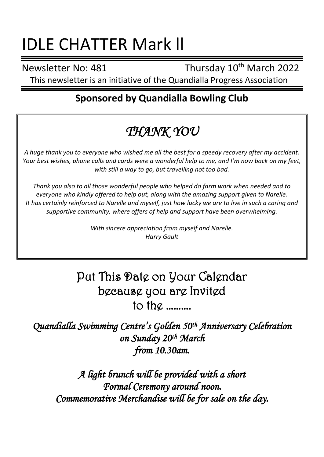# IDLE CHATTER Mark ll

Newsletter No: 481 Thursday 10<sup>th</sup> March 2022

This newsletter is an initiative of the Quandialla Progress Association

## **Sponsored by Quandialla Bowling Club**

## *THANK YOU*

*A huge thank you to everyone who wished me all the best for a speedy recovery after my accident. Your best wishes, phone calls and cards were a wonderful help to me, and I'm now back on my feet, with still a way to go, but travelling not too bad.*

*Thank you also to all those wonderful people who helped do farm work when needed and to everyone who kindly offered to help out, along with the amazing support given to Narelle. It has certainly reinforced to Narelle and myself, just how lucky we are to live in such a caring and supportive community, where offers of help and support have been overwhelming.*

> *With sincere appreciation from myself and Narelle. Harry Gault*

## Put This Date on Your Calendar because you are Invited to the ……….

*Quandialla Swimming Centre's Golden 50th Anniversary Celebration on Sunday 20th March from 10.30am.* 

*A light brunch will be provided with a short Formal Ceremony around noon. Commemorative Merchandise will be for sale on the day.*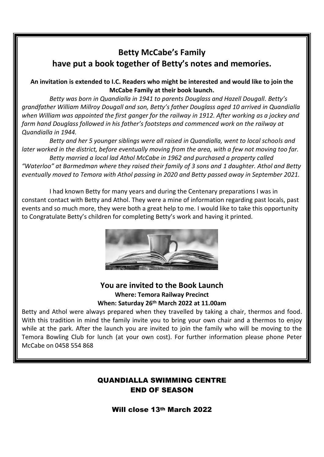## **Betty McCabe's Family have put a book together of Betty's notes and memories.**

#### **An invitation is extended to I.C. Readers who might be interested and would like to join the McCabe Family at their book launch.**

*Betty was born in Quandialla in 1941 to parents Douglass and Hazell Dougall. Betty's grandfather William Millroy Dougall and son, Betty's father Douglass aged 10 arrived in Quandialla when William was appointed the first ganger for the railway in 1912. After working as a jockey and farm hand Douglass followed in his father's footsteps and commenced work on the railway at Quandialla in 1944.*

*Betty and her 5 younger siblings were all raised in Quandialla, went to local schools and later worked in the district, before eventually moving from the area, with a few not moving too far. Betty married a local lad Athol McCabe in 1962 and purchased a property called* 

*"Waterloo" at Barmedman where they raised their family of 3 sons and 1 daughter. Athol and Betty eventually moved to Temora with Athol passing in 2020 and Betty passed away in September 2021.*

I had known Betty for many years and during the Centenary preparations I was in constant contact with Betty and Athol. They were a mine of information regarding past locals, past events and so much more, they were both a great help to me. I would like to take this opportunity to Congratulate Betty's children for completing Betty's work and having it printed.



#### **You are invited to the Book Launch Where: Temora Railway Precinct When: Saturday 26th March 2022 at 11.00am**

Betty and Athol were always prepared when they travelled by taking a chair, thermos and food. With this tradition in mind the family invite you to bring your own chair and a thermos to enjoy while at the park. After the launch you are invited to join the family who will be moving to the Temora Bowling Club for lunch (at your own cost). For further information please phone Peter McCabe on 0458 554 868

#### QUANDIALLA SWIMMING CENTRE END OF SEASON

Will close 13th March 2022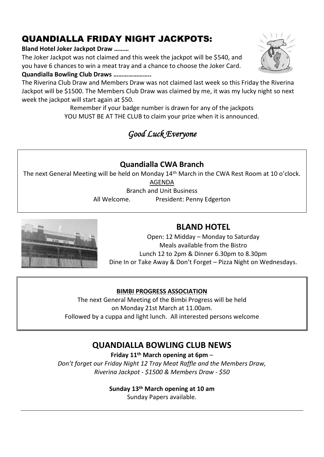## QUANDIALLA FRIDAY NIGHT JACKPOTS:

#### **Bland Hotel Joker Jackpot Draw ………**

The Joker Jackpot was not claimed and this week the jackpot will be \$540, and you have 6 chances to win a meat tray and a chance to choose the Joker Card.

#### **Quandialla Bowling Club Draws …………………..**

The Riverina Club Draw and Members Draw was not claimed last week so this Friday the Riverina Jackpot will be \$1500. The Members Club Draw was claimed by me, it was my lucky night so next week the jackpot will start again at \$50.

> Remember if your badge number is drawn for any of the jackpots YOU MUST BE AT THE CLUB to claim your prize when it is announced.

## *Good Luck Everyone*

#### **Quandialla CWA Branch**

The next General Meeting will be held on Monday 14th March in the CWA Rest Room at 10 o'clock.

AGENDA

Branch and Unit Business

All Welcome. President: Penny Edgerton



#### **BLAND HOTEL**

Open: 12 Midday – Monday to Saturday Meals available from the Bistro Lunch 12 to 2pm & Dinner 6.30pm to 8.30pm Dine In or Take Away & Don't Forget – Pizza Night on Wednesdays.

#### **BIMBI PROGRESS ASSOCIATION**

The next General Meeting of the Bimbi Progress will be held on Monday 21st March at 11.00am. Followed by a cuppa and light lunch. All interested persons welcome

### **QUANDIALLA BOWLING CLUB NEWS**

**Friday 11th March opening at 6pm** –

*Don't forget our Friday Night 12 Tray Meat Raffle and the Members Draw, Riverina Jackpot - \$1500 & Members Draw - \$50*

#### **Sunday 13th March opening at 10 am**

Sunday Papers available.